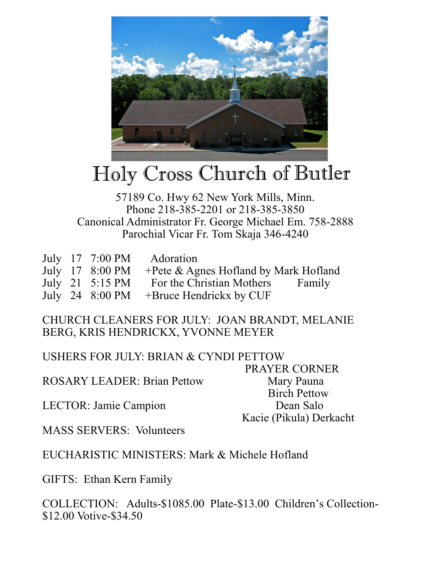

## Holy Cross Church of Butler

## 57189 Co. Hwy 62 New York Mills, Minn. Phone 218-385-2201 or 218-385-3850 Canonical Administrator Fr. George Michael Em. 758-2888 Parochial Vicar Fr. Tom Skaja 346-4240

|  | July 17 7:00 PM Adoration                              |  |
|--|--------------------------------------------------------|--|
|  | July 17 8:00 PM + Pete & Agnes Hofland by Mark Hofland |  |
|  | July 21 5:15 PM For the Christian Mothers Family       |  |
|  | July 24 $8:00 \text{ PM}$ +Bruce Hendrickx by CUF      |  |

## CHURCH CLEANERS FOR JULY: JOAN BRANDT, MELANIE BERG, KRIS HENDRICKX, YVONNE MEYER

USHERS FOR JULY: BRIAN & CYNDI PETTOW PRAYER CORNER ROSARY LEADER: Brian Pettow Mary Pauna Birch Pettow LECTOR: Jamie Campion Dean Salo Kacie (Pikula) Derkacht

MASS SERVERS: Volunteers

EUCHARISTIC MINISTERS: Mark & Michele Hofland

GIFTS: Ethan Kern Family

COLLECTION: Adults-\$1085.00 Plate-\$13.00 Children's Collection- \$12.00 Votive-\$34.50